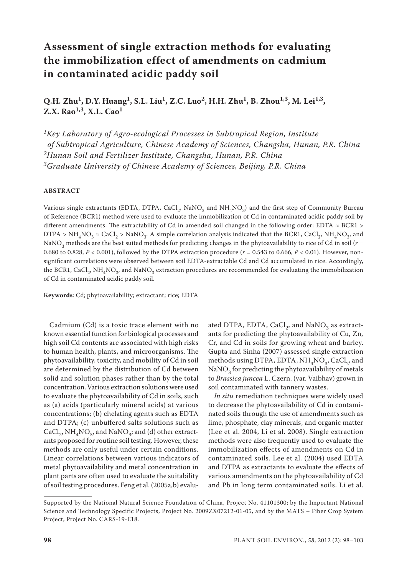# **Assessment of single extraction methods for evaluating the immobilization effect of amendments on cadmium in contaminated acidic paddy soil**

**Q.H. Zhu1, D.Y. Huang1, S.L. Liu1, Z.C. Luo2, H.H. Zhu1, B. Zhou1,3, M. Lei1,3, Z.X. Rao1,3, X.L. Cao1**

*1Key Laboratory of Agro-ecological Processes in Subtropical Region, Institute of Subtropical Agriculture, Chinese Academy of Sciences, Changsha, Hunan, P.R. China 2Hunan Soil and Fertilizer Institute, Changsha, Hunan, P.R. China 3Graduate University of Chinese Academy of Sciences, Beijing, P.R. China*

### **ABSTRACT**

Various single extractants (EDTA, DTPA, CaCl<sub>2</sub>, NaNO<sub>3</sub> and NH<sub>4</sub>NO<sub>3</sub>) and the first step of Community Bureau of Reference (BCR1) method were used to evaluate the immobilization of Cd in contaminated acidic paddy soil by different amendments. The extractability of Cd in amended soil changed in the following order: EDTA ≈ BCR1 > DTPA > NH<sub>4</sub>NO<sub>3</sub>  $\approx$  CaCl<sub>2</sub> > NaNO<sub>3</sub>. A simple correlation analysis indicated that the BCR1, CaCl<sub>2</sub>, NH<sub>4</sub>NO<sub>3</sub>, and NaNO<sub>3</sub> methods are the best suited methods for predicting changes in the phytoavailability to rice of Cd in soil (*r* = 0.680 to 0.828,  $P < 0.001$ ), followed by the DTPA extraction procedure ( $r = 0.543$  to 0.666,  $P < 0.01$ ). However, nonsignificant correlations were observed between soil EDTA-extractable Cd and Cd accumulated in rice. Accordingly, the BCR1, CaCl<sub>2</sub>, NH<sub>4</sub>NO<sub>3</sub>, and NaNO<sub>3</sub> extraction procedures are recommended for evaluating the immobilization of Cd in contaminated acidic paddy soil.

**Keywords**: Cd; phytoavailability; extractant; rice; EDTA

Cadmium (Cd) is a toxic trace element with no known essential function for biological processes and high soil Cd contents are associated with high risks to human health, plants, and microorganisms. The phytoavailability, toxicity, and mobility of Cd in soil are determined by the distribution of Cd between solid and solution phases rather than by the total concentration. Various extraction solutions were used to evaluate the phytoavailability of Cd in soils, such as (a) acids (particularly mineral acids) at various concentrations; (b) chelating agents such as EDTA and DTPA; (c) unbuffered salts solutions such as CaCl<sub>2</sub>, NH<sub>4</sub>NO<sub>3</sub>, and NaNO<sub>3</sub>; and (d) other extractants proposed for routine soil testing. However, these methods are only useful under certain conditions. Linear correlations between various indicators of metal phytoavailability and metal concentration in plant parts are often used to evaluate the suitability of soil testing procedures. Feng et al. (2005a,b) evalu-

ated DTPA, EDTA, CaCl<sub>2</sub>, and NaNO<sub>3</sub> as extractants for predicting the phytoavailability of Cu, Zn, Cr, and Cd in soils for growing wheat and barley. Gupta and Sinha (2007) assessed single extraction methods using DTPA, EDTA,  $NH<sub>4</sub>NO<sub>3</sub>$ , CaCl<sub>2</sub>, and  $\text{NaNO}_3$  for predicting the phytoavailability of metals to *Brassica juncea* L. Czern. (var. Vaibhav) grown in soil contaminated with tannery wastes.

*In situ* remediation techniques were widely used to decrease the phytoavailability of Cd in contaminated soils through the use of amendments such as lime, phosphate, clay minerals, and organic matter (Lee et al. 2004, Li et al. 2008). Single extraction methods were also frequently used to evaluate the immobilization effects of amendments on Cd in contaminated soils. Lee et al. (2004) used EDTA and DTPA as extractants to evaluate the effects of various amendments on the phytoavailability of Cd and Pb in long term contaminated soils. Li et al.

Supported by the National Natural Science Foundation of China, Project No. 41101300; by the Important National Science and Technology Specific Projects, Project No. 2009ZX07212-01-05, and by the MATS – Fiber Crop System Project, Project No. CARS-19-E18.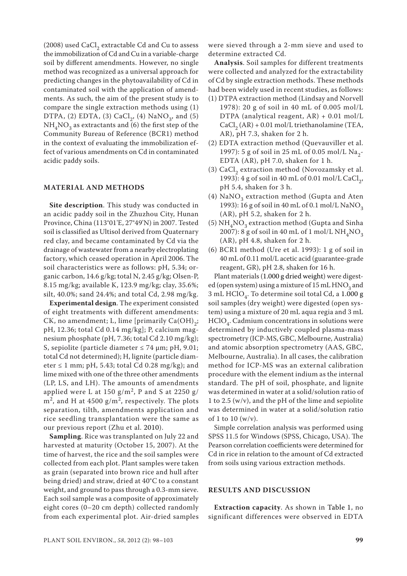(2008) used CaCl<sub>2</sub> extractable Cd and Cu to assess the immobilization of Cd and Cu in a variable-charge soil by different amendments. However, no single method was recognized as a universal approach for predicting changes in the phytoavailability of Cd in contaminated soil with the application of amendments. As such, the aim of the present study is to compare the single extraction methods using (1) DTPA, (2) EDTA, (3) CaCl<sub>2</sub>, (4) NaNO<sub>3</sub>, and (5)  $NH<sub>4</sub>NO<sub>3</sub>$  as extractants and (6) the first step of the Community Bureau of Reference (BCR1) method in the context of evaluating the immobilization effect of various amendments on Cd in contaminated acidic paddy soils.

#### **MATERIAL AND METHODS**

**Site description**. This study was conducted in an acidic paddy soil in the Zhuzhou City, Hunan Province, China (113°01'E, 27°49'N) in 2007. Tested soil is classified as Ultisol derived from Quaternary red clay, and became contaminated by Cd via the drainage of wastewater from a nearby electroplating factory, which ceased operation in April 2006. The soil characteristics were as follows: pH, 5.34; organic carbon, 14.6 g/kg; total N, 2.45 g/kg; Olsen-P, 8.15 mg/kg; available K, 123.9 mg/kg; clay, 35.6%; silt, 40.0%; sand 24.4%; and total Cd, 2.98 mg/kg.

**Experimental design**. The experiment consisted of eight treatments with different amendments: CK, no amendment; L, lime [primarily  $Ca(OH)_{2}$ ; pH, 12.36; total Cd 0.14 mg/kg]; P, calcium magnesium phosphate (pH, 7.36; total Cd 2.10 mg/kg); S, sepiolite (particle diameter  $\leq 74$  µm; pH, 9.01; total Cd not determined); H, lignite (particle diameter  $\leq 1$  mm; pH, 5.43; total Cd 0.28 mg/kg); and lime mixed with one of the three other amendments (LP, LS, and LH). The amounts of amendments applied were L at 150  $g/m^2$ , P and S at 2250  $g/$  $m<sup>2</sup>$ , and H at 4500 g/m<sup>2</sup>, respectively. The plots separation, tilth, amendments application and rice seedling transplantation were the same as our previous report (Zhu et al. 2010).

**Sampling**. Rice was transplanted on July 22 and harvested at maturity (October 15, 2007). At the time of harvest, the rice and the soil samples were collected from each plot. Plant samples were taken as grain (separated into brown rice and hull after being dried) and straw, dried at 40°C to a constant weight, and ground to pass through a 0.3-mm sieve. Each soil sample was a composite of approximately eight cores (0–20 cm depth) collected randomly from each experimental plot. Air-dried samples were sieved through a 2-mm sieve and used to determine extracted Cd.

**Analysis**. Soil samples for different treatments were collected and analyzed for the extractability of Cd by single extraction methods. These methods had been widely used in recent studies, as follows:

- (1) DTPA extraction method (Lindsay and Norvell 1978): 20 g of soil in 40 mL of 0.005 mol/L DTPA (analytical reagent, AR) + 0.01 mol/L  $CaCl<sub>2</sub>(AR) + 0.01$  mol/L triethanolamine (TEA, AR), pH 7.3, shaken for 2 h.
- (2) EDTA extraction method (Quevauviller et al. 1997): 5 g of soil in 25 mL of 0.05 mol/L Na<sub>2</sub>-EDTA (AR), pH 7.0, shaken for 1 h.
- (3) CaCl<sub>2</sub> extraction method (Novozamsky et al. 1993): 4 g of soil in 40 mL of 0.01 mol/L CaCl<sub>2</sub>, pH 5.4, shaken for 3 h.
- (4)  $NaNO<sub>3</sub>$  extraction method (Gupta and Aten 1993): 16 g of soil in 40 mL of 0.1 mol/L NaNO<sub>3</sub> (AR), pH 5.2, shaken for 2 h.
- (5)  $NH<sub>4</sub>NO<sub>3</sub>$  extraction method (Gupta and Sinha 2007): 8 g of soil in 40 mL of 1 mol/L  $NH<sub>4</sub>NO<sub>3</sub>$ (AR), pH 4.8, shaken for 2 h.
- (6) BCR1 method (Ure et al. 1993): 1 g of soil in 40 mL of 0.11 mol/L acetic acid (guarantee-grade reagent, GR), pH 2.8, shaken for 16 h.

Plant materials (1.000 g dried weight) were digested (open system) using a mixture of  $15 \text{ mL HNO}_3$  and 3 mL  $HClO<sub>4</sub>$ . To determine soil total Cd, a 1.000 g soil samples (dry weight) were digested (open system) using a mixture of 20 mL aqua regia and 3 mL  $HClO<sub>4</sub>$ . Cadmium concentrations in solutions were determined by inductively coupled plasma-mass spectrometry (ICP-MS, GBC, Melbourne, Australia) and atomic absorption spectrometry (AAS, GBC, Melbourne, Australia). In all cases, the calibration method for ICP-MS was an external calibration procedure with the element indium as the internal standard. The pH of soil, phosphate, and lignite was determined in water at a solid/solution ratio of 1 to 2.5 (w/v), and the pH of the lime and sepiolite was determined in water at a solid/solution ratio of 1 to 10  $(w/v)$ .

Simple correlation analysis was performed using SPSS 11.5 for Windows (SPSS, Chicago, USA). The Pearson correlation coefficients were determined for Cd in rice in relation to the amount of Cd extracted from soils using various extraction methods.

## **RESULTS AND DISCUSSION**

**Extraction capacity**. As shown in Table 1, no significant differences were observed in EDTA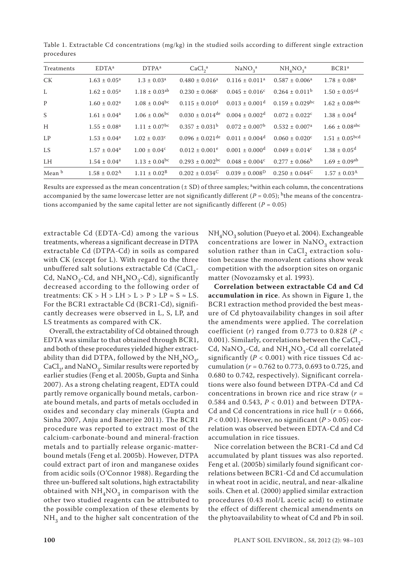| Treatments | EDTA <sup>a</sup>          | DTPA <sup>a</sup>             | CaCl <sub>2</sub> <sup>a</sup>  | NaNO <sub>3</sub> <sup>a</sup> | $NH_{4}NO_{3}^{a}$              | BCR1 <sup>a</sup>              |
|------------|----------------------------|-------------------------------|---------------------------------|--------------------------------|---------------------------------|--------------------------------|
| <b>CK</b>  | $1.63 \pm 0.05^{\text{a}}$ | $1.3 \pm 0.03^a$              | $0.480 \pm 0.016^a$             | $0.116 \pm 0.011^a$            | $0.587 \pm 0.006^a$             | $1.78 \pm 0.08^a$              |
| L          | $1.62 \pm 0.05^a$          | $1.18 \pm 0.03$ <sup>ab</sup> | $0.230 \pm 0.068$ <sup>c</sup>  | $0.045 \pm 0.016^c$            | $0.264 \pm 0.011^{\rm b}$       | $1.50 \pm 0.05$ <sup>cd</sup>  |
| P          | $1.60 \pm 0.02^a$          | $1.08 \pm 0.04^{bc}$          | $0.115 \pm 0.010^{\text{d}}$    | $0.013 \pm 0.001$ <sup>d</sup> | $0.159 \pm 0.029$ <sup>bc</sup> | $1.62 \pm 0.08$ <sup>abc</sup> |
| S          | $1.61 \pm 0.04^a$          | $1.06 \pm 0.06^{bc}$          | $0.030 \pm 0.014$ <sup>de</sup> | $0.004 \pm 0.002$ <sup>d</sup> | $0.072 \pm 0.022$ <sup>c</sup>  | $1.38 \pm 0.04$ <sup>d</sup>   |
| H          | $1.55 \pm 0.08^a$          | $1.11 \pm 0.07$ <sup>bc</sup> | $0.357 \pm 0.031^{\rm b}$       | $0.072 \pm 0.007^{\rm b}$      | $0.532 \pm 0.007$ <sup>a</sup>  | $1.66 \pm 0.08$ <sup>abc</sup> |
| LP         | $1.53 \pm 0.04^a$          | $1.02 \pm 0.03$ <sup>c</sup>  | $0.096 \pm 0.021$ <sup>de</sup> | $0.011 \pm 0.004$ <sup>d</sup> | $0.060 \pm 0.020$ <sup>c</sup>  | $1.51 \pm 0.05^{bcd}$          |
| <b>LS</b>  | $1.57 \pm 0.04^a$          | $1.00 \pm 0.04$ <sup>c</sup>  | $0.012 \pm 0.001$ <sup>e</sup>  | $0.001 \pm 0.000$ <sup>d</sup> | $0.049 \pm 0.014^c$             | $1.38 \pm 0.05$ <sup>d</sup>   |
| LH         | $1.54 \pm 0.04^a$          | $1.13 \pm 0.04^{bc}$          | $0.293 \pm 0.002$ <sup>bc</sup> | $0.048 \pm 0.004^c$            | $0.277 \pm 0.066^{\circ}$       | $1.69 \pm 0.09$ <sup>ab</sup>  |
| Mean b     | $1.58 \pm 0.02^{\rm A}$    | $1.11 \pm 0.02^{\rm B}$       | $0.202 + 0.034^{\circ}$         | $0.039 \pm 0.008$ <sup>D</sup> | $0.250 \pm 0.044^{\circ}$       | $1.57 \pm 0.03^{\rm A}$        |

Table 1. Extractable Cd concentrations (mg/kg) in the studied soils according to different single extraction procedures

Results are expressed as the mean concentration ( $\pm$  SD) of three samples; <sup>a</sup>within each column, the concentrations accompanied by the same lowercase letter are not significantly different ( $P = 0.05$ ); <sup>b</sup>the means of the concentrations accompanied by the same capital letter are not significantly different ( $P = 0.05$ )

extractable Cd (EDTA-Cd) among the various treatments, whereas a significant decrease in DTPA extractable Cd (DTPA-Cd) in soils as compared with CK (except for L). With regard to the three unbuffered salt solutions extractable Cd (CaCl<sub>2</sub>-Cd, NaNO<sub>3</sub>-Cd, and NH<sub>4</sub>NO<sub>3</sub>-Cd), significantly decreased according to the following order of treatments:  $CK > H > LH > L > P > LP \approx S \approx LS$ . For the BCR1 extractable Cd (BCR1-Cd), significantly decreases were observed in L, S, LP, and LS treatments as compared with CK.

Overall, the extractability of Cd obtained through EDTA was similar to that obtained through BCR1, and both of these procedures yielded higher extractability than did DTPA, followed by the  $NH<sub>4</sub>NO<sub>3</sub>$ , CaCl<sub>2</sub>, and NaNO<sub>3</sub>. Similar results were reported by earlier studies (Feng et al. 2005b, Gupta and Sinha 2007). As a strong chelating reagent, EDTA could partly remove organically bound metals, carbonate bound metals, and parts of metals occluded in oxides and secondary clay minerals (Gupta and Sinha 2007, Anju and Banerjee 2011). The BCR1 procedure was reported to extract most of the calcium-carbonate-bound and mineral-fraction metals and to partially release organic-matterbound metals (Feng et al. 2005b). However, DTPA could extract part of iron and manganese oxides from acidic soils (O'Connor 1988). Regarding the three un-buffered salt solutions, high extractability obtained with  $NH<sub>4</sub>NO<sub>3</sub>$  in comparison with the other two studied reagents can be attributed to the possible complexation of these elements by  $NH<sub>3</sub>$  and to the higher salt concentration of the  $NH_{4}NO_{3}$  solution (Pueyo et al. 2004). Exchangeable concentrations are lower in  $NaNO<sub>3</sub>$  extraction solution rather than in CaCl<sub>2</sub> extraction solution because the monovalent cations show weak competition with the adsorption sites on organic matter (Novozamsky et al. 1993).

**Correlation between extractable Cd and Cd accumulation in rice**. As shown in Figure 1, the BCR1 extraction method provided the best measure of Cd phytoavailability changes in soil after the amendments were applied. The correlation coefficient (*r*) ranged from 0.773 to 0.828 (*P* < 0.001). Similarly, correlations between the CaCl<sub>2</sub>-Cd,  $\text{NaNO}_3\text{-Cd}$ , and  $\text{NH}_4\text{NO}_3\text{-Cd}$  all correlated significantly  $(P < 0.001)$  with rice tissues Cd accumulation (*r* = 0.762 to 0.773, 0.693 to 0.725, and 0.680 to 0.742, respectively). Significant correlations were also found between DTPA-Cd and Cd concentrations in brown rice and rice straw (*r* = 0.584 and 0.543, *P* < 0.01) and between DTPA-Cd and Cd concentrations in rice hull  $(r = 0.666,$  $P < 0.001$ ). However, no significant ( $P > 0.05$ ) correlation was observed between EDTA-Cd and Cd accumulation in rice tissues.

Nice correlation between the BCR1-Cd and Cd accumulated by plant tissues was also reported. Feng et al. (2005b) similarly found significant correlations between BCR1-Cd and Cd accumulation in wheat root in acidic, neutral, and near-alkaline soils. Chen et al. (2000) applied similar extraction procedures (0.43 mol/L acetic acid) to estimate the effect of different chemical amendments on the phytoavailability to wheat of Cd and Pb in soil.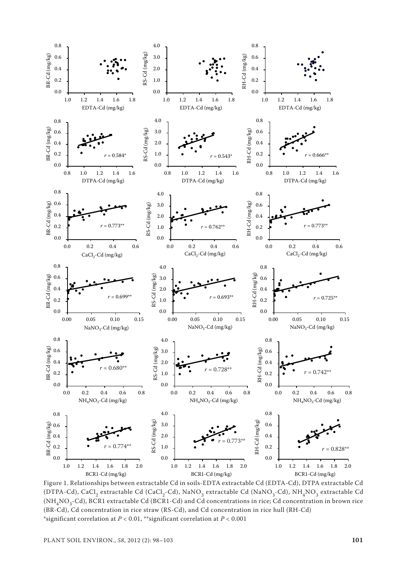

Figure 1. Relationships between extractable Cd in soils-EDTA extractable Cd (EDTA-Cd), DTPA extractable Cd (DTPA-Cd), CaCl<sub>2</sub> extractable Cd (CaCl<sub>2</sub>-Cd), NaNO<sub>3</sub> extractable Cd (NaNO<sub>3</sub>-Cd), NH<sub>4</sub>NO<sub>3</sub> extractable Cd  $(NH<sub>4</sub>NO<sub>3</sub>-Cd)$ , BCR1 extractable Cd (BCR1-Cd) and Cd concentrations in rice; Cd concentration in brown rice (BR-Cd), Cd concentration in rice straw (RS-Cd), and Cd concentration in rice hull (RH-Cd) \*significant correlation at *P* < 0.01, \*\*significant correlation at *P* < 0.001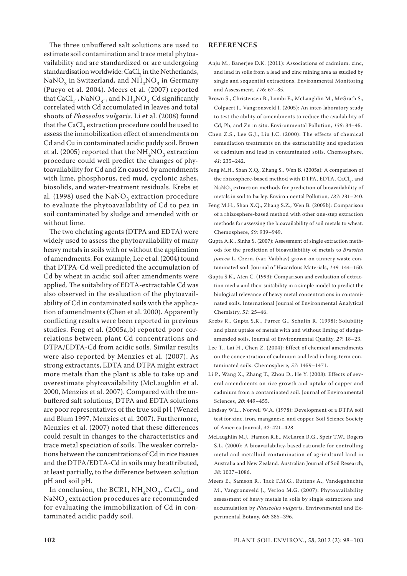The three unbuffered salt solutions are used to estimate soil contamination and trace metal phytoavailability and are standardized or are undergoing standardisation worldwide: CaCl<sub>2</sub> in the Netherlands, NaNO<sub>3</sub> in Switzerland, and NH<sub>4</sub>NO<sub>3</sub> in Germany (Pueyo et al. 2004). Meers et al. (2007) reported that CaCl<sub>2</sub>-, NaNO<sub>3</sub>-, and NH<sub>4</sub>NO<sub>3</sub>-Cd significantly correlated with Cd accumulated in leaves and total shoots of *Phaseolus vulgaris*. Li et al. (2008) found that the CaCl<sub>2</sub> extraction procedure could be used to assess the immobilization effect of amendments on Cd and Cu in contaminated acidic paddy soil. Brown et al. (2005) reported that the  $NH<sub>4</sub>NO<sub>3</sub>$  extraction procedure could well predict the changes of phytoavailability for Cd and Zn caused by amendments with lime, phosphorus, red mud, cyclonic ashes, biosolids, and water-treatment residuals. Krebs et al. (1998) used the  $NaNO<sub>3</sub>$  extraction procedure to evaluate the phytoavailability of Cd to pea in soil contaminated by sludge and amended with or without lime.

The two chelating agents (DTPA and EDTA) were widely used to assess the phytoavailability of many heavy metals in soils with or without the application of amendments. For example, Lee et al. (2004) found that DTPA-Cd well predicted the accumulation of Cd by wheat in acidic soil after amendments were applied. The suitability of EDTA-extractable Cd was also observed in the evaluation of the phytoavailability of Cd in contaminated soils with the application of amendments (Chen et al. 2000). Apparently conflicting results were been reported in previous studies. Feng et al. (2005a,b) reported poor correlations between plant Cd concentrations and DTPA/EDTA-Cd from acidic soils. Similar results were also reported by Menzies et al. (2007). As strong extractants, EDTA and DTPA might extract more metals than the plant is able to take up and overestimate phytoavailability (McLaughlin et al. 2000, Menzies et al. 2007). Compared with the unbuffered salt solutions, DTPA and EDTA solutions are poor representatives of the true soil pH (Wenzel and Blum 1997, Menzies et al. 2007). Furthermore, Menzies et al. (2007) noted that these differences could result in changes to the characteristics and trace metal speciation of soils. The weaker correlations between the concentrations of Cd in rice tissues and the DTPA/EDTA-Cd in soils may be attributed, at least partially, to the difference between solution pH and soil pH.

In conclusion, the BCR1,  $NH<sub>4</sub>NO<sub>3</sub>$ , CaCl<sub>2</sub>, and NaNO<sub>3</sub> extraction procedures are recommended for evaluating the immobilization of Cd in contaminated acidic paddy soil.

### **REFERENCES**

- Anju M., Banerjee D.K. (2011): Associations of cadmium, zinc, and lead in soils from a lead and zinc mining area as studied by single and sequential extractions. Environmental Monitoring and Assessment, *176*: 67–85.
- Brown S., Christensen B., Lombi E., McLaughlin M., McGrath S., Colpaert J., Vangronsveld J. (2005): An inter-laboratory study to test the ability of amendments to reduce the availability of Cd, Pb, and Zn in situ. Environmental Pollution, *138*: 34–45.
- Chen Z.S., Lee G.J., Liu J.C. (2000): The effects of chemical remediation treatments on the extractability and speciation of cadmium and lead in contaminated soils. Chemosphere, *41*: 235–242.
- Feng M.H., Shan X.Q., Zhang S., Wen B. (2005a): A comparison of the rhizosphere-based method with DTPA, EDTA, CaCl<sub>2</sub>, and NaNO<sub>3</sub> extraction methods for prediction of bioavailability of metals in soil to barley. Environmental Pollution, *137*: 231–240.
- Feng M.H., Shan X.Q., Zhang S.Z., Wen B. (2005b): Comparison of a rhizosphere-based method with other one-step extraction methods for assessing the bioavailability of soil metals to wheat. Chemosphere, *59*: 939–949.
- Gupta A.K., Sinha S. (2007): Assessment of single extraction methods for the prediction of bioavailability of metals to *Brassica juncea* L. Czern. (var. Vaibhav) grown on tannery waste contaminated soil. Journal of Hazardous Materials, *149*: 144–150.
- Gupta S.K., Aten C. (1993): Comparison and evaluation of extraction media and their suitability in a simple model to predict the biological relevance of heavy metal concentrations in contaminated soils. International Journal of Environmental Analytical Chemistry, *51*: 25–46.
- Krebs R., Gupta S.K., Furrer G., Schulin R. (1998): Solubility and plant uptake of metals with and without liming of sludgeamended soils. Journal of Environmental Quality, *27*: 18–23.
- Lee T., Lai H., Chen Z. (2004): Effect of chemical amendments on the concentration of cadmium and lead in long-term contaminated soils. Chemosphere, *57*: 1459–1471.
- Li P., Wang X., Zhang T., Zhou D., He Y. (2008): Effects of several amendments on rice growth and uptake of copper and cadmium from a contaminated soil. Journal of Environmental Sciences, *20*: 449–455.
- Lindsay W.L., Norvell W.A. (1978): Development of a DTPA soil test for zinc, iron, manganese, and copper. Soil Science Society of America Journal, *42*: 421–428.
- McLaughlin M.J., Hamon R.E., McLaren R.G., Speir T.W., Rogers S.L. (2000): A bioavailability-based rationale for controlling metal and metalloid contamination of agricultural land in Australia and New Zealand. Australian Journal of Soil Research, *38*: 1037–1086.
- Meers E., Samson R., Tack F.M.G., Ruttens A., Vandegehuchte M., Vangronsveld J., Verloo M.G. (2007): Phytoavailability assessment of heavy metals in soils by single extractions and accumulation by *Phaseolus vulgaris*. Environmental and Experimental Botany, *60*: 385–396.